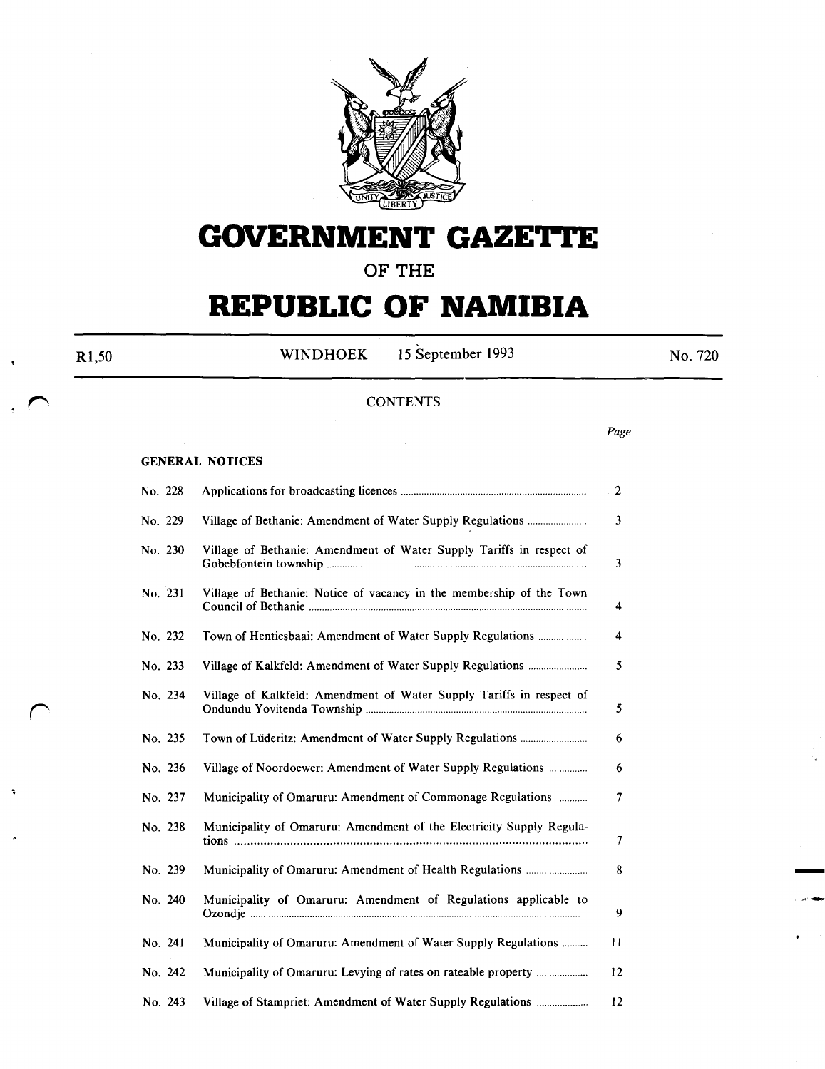

# **GOVERNMENT GAZETTE**

**OF THE** 

# **REPUBLIC OF NAMIBIA**

R1,50 WINDHOEK  $-$  15 September 1993 No. 720

## **CONTENTS**

*Page* 

#### GENERAL NOTICES

| No. 228 |                                                                      | $\overline{2}$ |
|---------|----------------------------------------------------------------------|----------------|
| No. 229 |                                                                      | 3              |
| No. 230 | Village of Bethanie: Amendment of Water Supply Tariffs in respect of | 3              |
| No. 231 | Village of Bethanie: Notice of vacancy in the membership of the Town | 4              |
| No. 232 |                                                                      | 4              |
| No. 233 |                                                                      | 5              |
| No. 234 | Village of Kalkfeld: Amendment of Water Supply Tariffs in respect of | 5              |
| No. 235 |                                                                      | 6              |
| No. 236 | Village of Noordoewer: Amendment of Water Supply Regulations         | 6              |
| No. 237 | Municipality of Omaruru: Amendment of Commonage Regulations          | $\overline{7}$ |
| No. 238 | Municipality of Omaruru: Amendment of the Electricity Supply Regula- | 7              |
| No. 239 |                                                                      | 8              |
| No. 240 | Municipality of Omaruru: Amendment of Regulations applicable to      | 9              |
| No. 241 | Municipality of Omaruru: Amendment of Water Supply Regulations       | 11             |
| No. 242 |                                                                      | 12             |
| No. 243 | Village of Stampriet: Amendment of Water Supply Regulations          | 12             |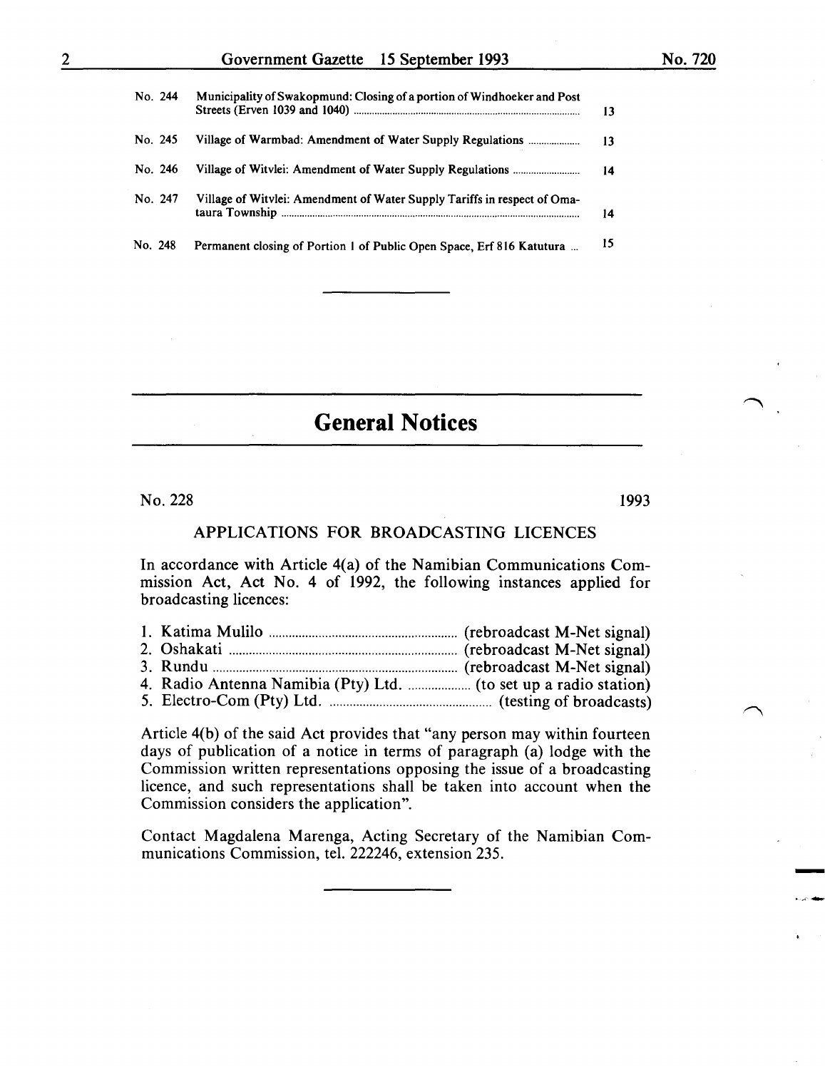| No. 244 | Municipality of Swakopmund: Closing of a portion of Windhoeker and Post  | 13 |
|---------|--------------------------------------------------------------------------|----|
| No. 245 | Village of Warmbad: Amendment of Water Supply Regulations                | 13 |
| No. 246 |                                                                          | 14 |
| No. 247 | Village of Witvlei: Amendment of Water Supply Tariffs in respect of Oma- | 14 |
| No. 248 | Permanent closing of Portion 1 of Public Open Space, Erf 816 Katutura    | 15 |

**General Notices** 

 $No. 228$  1993

-

## APPLICATIONS FOR BROADCASTING LICENCES

In accordance with Article 4(a) of the Namibian Communications Commission Act, Act No. 4 of 1992, the following instances applied for broadcasting licences:

Article 4(b) of the said Act provides that "any person may within fourteen days of publication of a notice in terms of paragraph (a) lodge with the Commission written representations opposing the issue of a broadcasting licence, and such representations shall be taken into account when the Commission considers the application".

Contact Magdalena Marenga, Acting Secretary of the Namibian Communications Commission, tel. 222246, extension 235.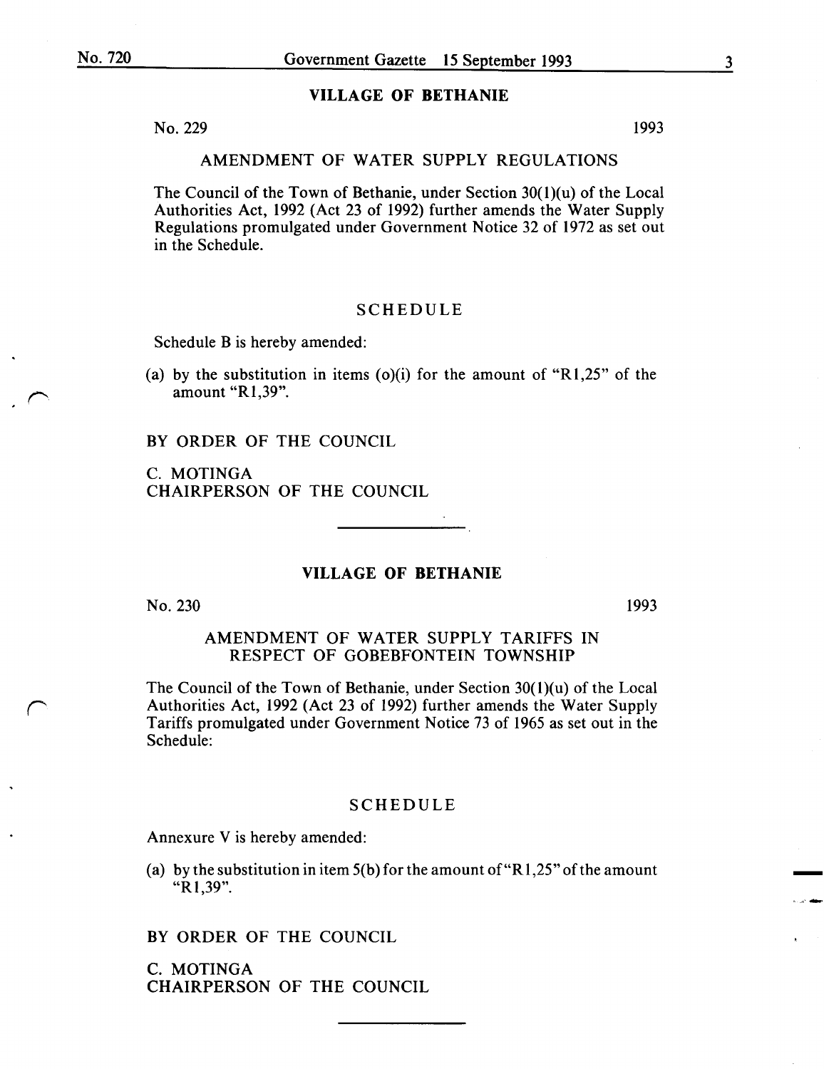#### VILLAGE OF BETHANIE

 $N<sub>0</sub>$ . 229 1993

### AMENDMENT OF WATER SUPPLY REGULATIONS

The Council of the Town of Bethanie, under Section  $30(1)(u)$  of the Local Authorities Act, 1992 (Act 23 of 1992) further amends the Water Supply Regulations promulgated under Government Notice 32 of 1972 as set out in the Schedule.

# SCHEDULE

Schedule B is hereby amended:

(a) by the substitution in items (o)(i) for the amount of " $R1,25$ " of the amount "R1,39".

BY ORDER OF THE COUNCIL

C. MOTINGA CHAIRPERSON OF THE COUNCIL

## VILLAGE OF BETHANIE

No. 230

1993

-

## AMENDMENT OF WATER SUPPLY TARIFFS IN RESPECT OF GOBEBFONTEIN TOWNSHIP

The Council of the Town of Bethanie, under Section 30(1)(u) of the Local Authorities Act, 1992 (Act 23 of 1992) further amends the Water Supply Tariffs promulgated under Government Notice 73 of 1965 as set out in the Schedule:

#### SCHEDULE

Annexure V is hereby amended:

(a) by the substitution in item  $5(b)$  for the amount of "R1,25" of the amount "R1,39".

BY ORDER OF THE COUNCIL

C. MOTINGA CHAIRPERSON OF THE COUNCIL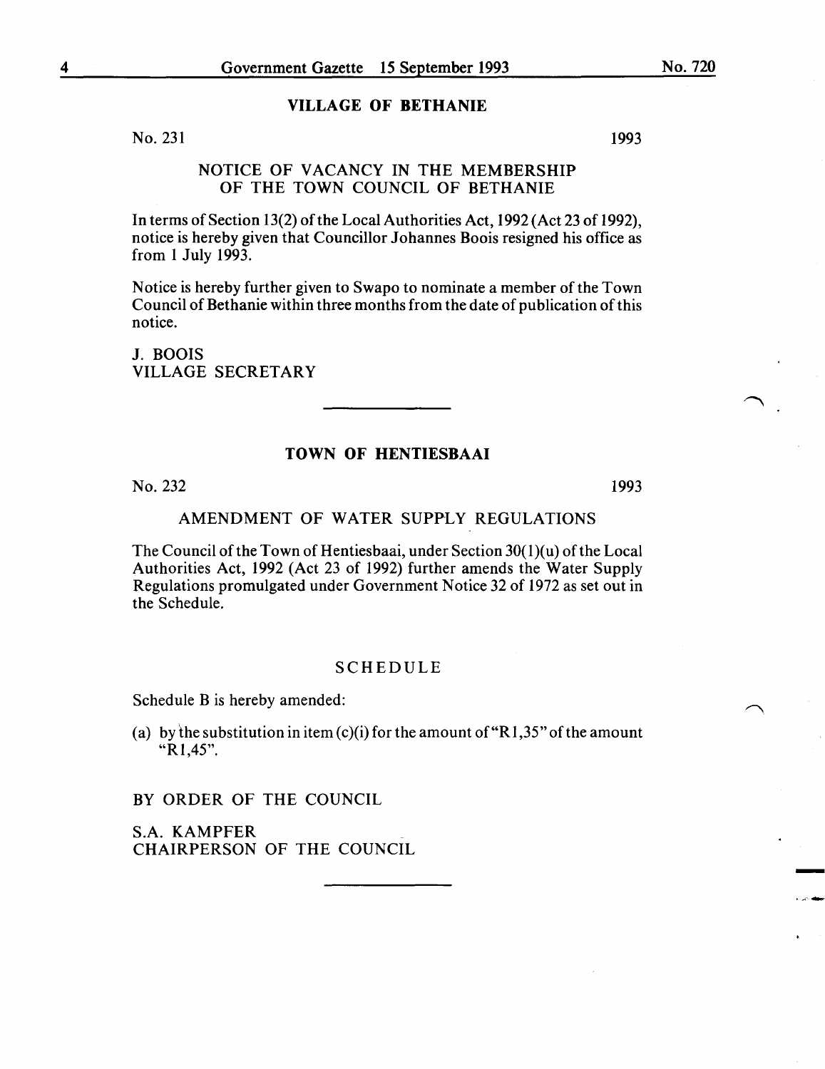#### VILLAGE OF BETHANIE

No. 231

# NOTICE OF VACANCY IN THE MEMBERSHIP OF THE TOWN COUNCIL OF BETHANIE

In terms of Section 13(2) of the Local Authorities Act, 1992 (Act 23 of 1992), notice is hereby given that Councillor Johannes Boois resigned his office as from I July 1993.

Notice is hereby further given to Swapo to nominate a member of the Town Council of Bethanie within three months from the date of publication of this notice.

J. BOOIS VILLAGE SECRETARY

## TOWN OF HENTIESBAAI

No. 232 1993

-

..... ..,..

### AMENDMENT OF WATER SUPPLY REGULATIONS

The Council of the Town of Hentiesbaai, under Section  $30(1)(u)$  of the Local Authorities Act, 1992 (Act 23 of 1992) further amends the Water Supply Regulations promulgated under Government Notice 32 of 1972 as set out in the Schedule.

#### SCHEDULE

Schedule B is hereby amended:

(a) by the substitution in item  $(c)(i)$  for the amount of "R1,35" of the amount "Rl,45".

BY ORDER OF THE COUNCIL

S.A. KAMPFER CHAIRPERSON OF THE COUNCIL 1993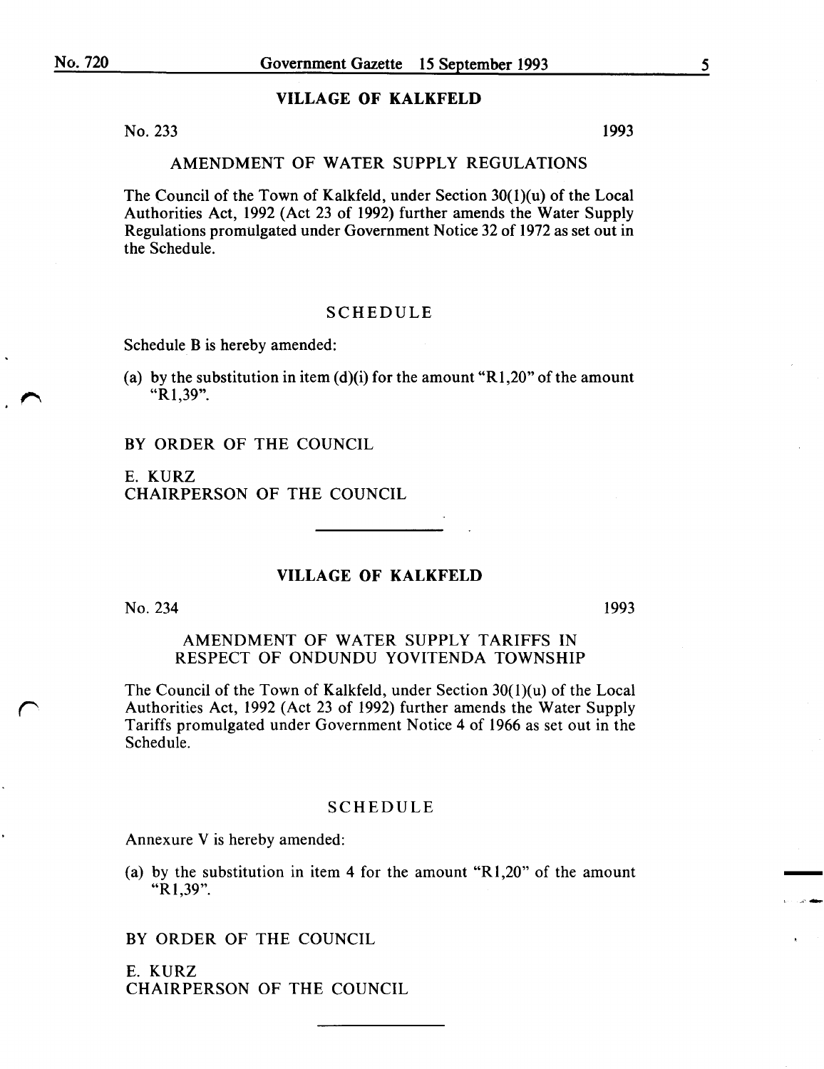### VILLAGE OF KALKFELD

No. 233 1993

#### AMENDMENT OF WATER SUPPLY REGULATIONS

The Council of the Town of Kalkfeld, under Section  $30(1)(u)$  of the Local Authorities Act, 1992 (Act 23 of 1992) further amends the Water Supply Regulations promulgated under Government Notice 32 of 1972 as set out in the Schedule.

## SCHEDULE

Schedule B is hereby amended:

(a) by the substitution in item  $(d)(i)$  for the amount "R1,20" of the amount "R1,39".

BY ORDER OF THE COUNCIL

E. KURZ CHAIRPERSON OF THE COUNCIL

## VILLAGE OF KALKFELD

No. 234

r

1993

-

AMENDMENT OF WATER SUPPLY TARIFFS IN RESPECT OF ONDUNDU YOVITENDA TOWNSHIP

The Council of the Town of Kalkfeld, under Section 30(1)(u) of the Local Authorities Act, 1992 (Act 23 of 1992) further amends the Water Supply Tariffs promulgated under Government Notice 4 of 1966 as set out in the Schedule.

## SCHEDULE

Annexure V is hereby amended:

(a) by the substitution in item 4 for the amount "Rl,20" of the amount "R1,39".

BY ORDER OF THE COUNCIL

E. KURZ CHAIRPERSON OF THE COUNCIL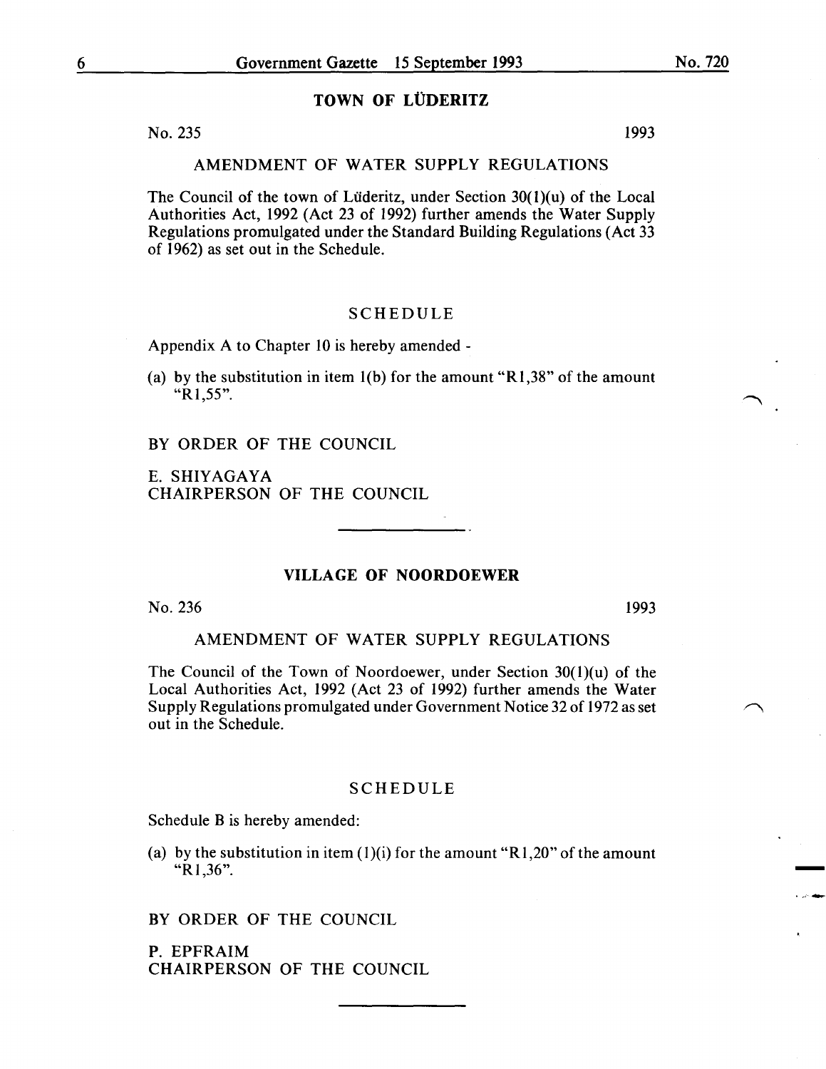# TOWN OF LÜDERITZ

 $N<sub>0</sub>$ . 235 1993

## AMENDMENT OF WATER SUPPLY REGULATIONS

The Council of the town of Lüderitz, under Section  $30(1)(u)$  of the Local Authorities Act, 1992 (Act 23 of 1992) further amends the Water Supply Regulations promulgated under the Standard Building Regulations (Act 33 of 1962) as set out in the Schedule.

### SCHEDULE

Appendix A to Chapter 10 is hereby amended -

(a) by the substitution in item  $1(b)$  for the amount "R1,38" of the amount "R1,55".

BY ORDER OF THE COUNCIL

E. SHIYAGAYA CHAIRPERSON OF THE COUNCIL

## VILLAGE OF NOORDOEWER

No. 236

1993

-

## AMENDMENT OF WATER SUPPLY REGULATIONS

The Council of the Town of Noordoewer, under Section 30(1)(u) of the Local Authorities Act, 1992 (Act 23 of 1992) further amends the Water Supply Regulations promulgated under Government Notice 32 of 1972 as set out in the Schedule.

#### SCHEDULE

Schedule B is hereby amended:

(a) by the substitution in item  $(1)(i)$  for the amount "R1,20" of the amount "R1 ,36".

BY ORDER OF THE COUNCIL

P. EPFRAIM CHAIRPERSON OF THE COUNCIL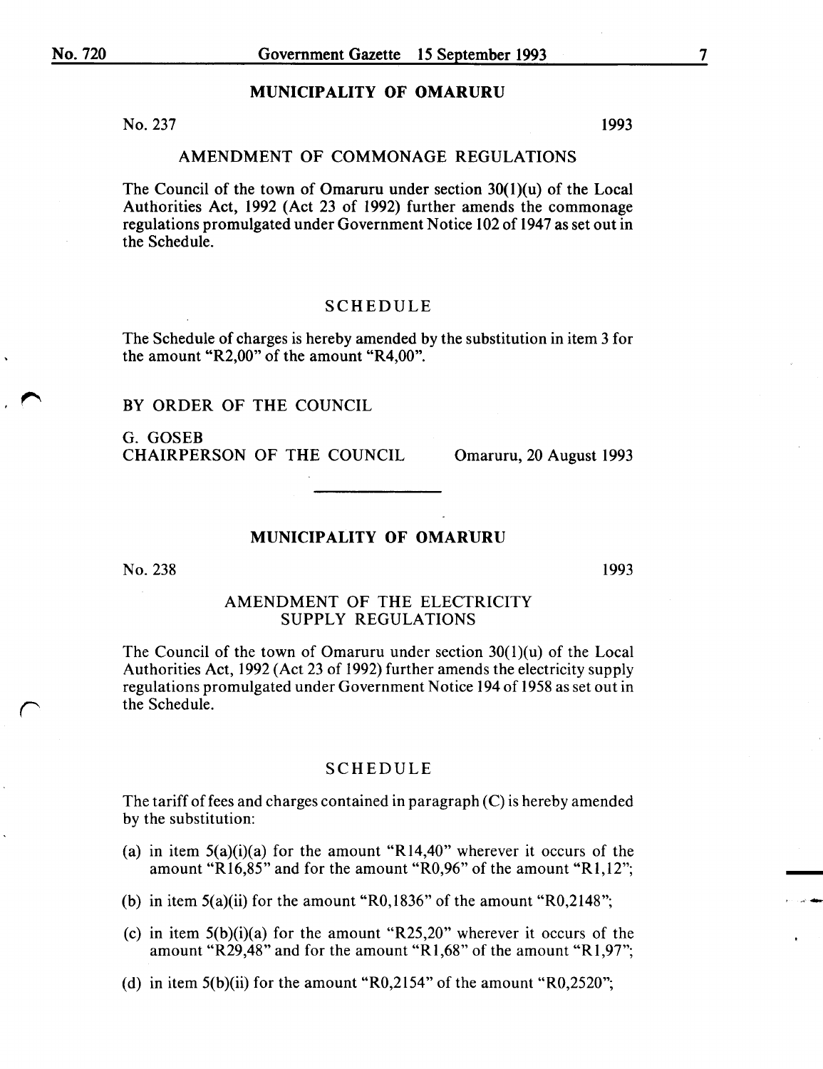#### MUNICIPALITY OF OMARURU

No. 237 1993

#### AMENDMENT OF COMMONAGE REGULATIONS

The Council of the town of Omaruru under section 30(1)(u) of the Local Authorities Act, 1992 (Act 23 of 1992) further amends the commonage regulations promulgated under Government Notice 102 of 1947 as set out in the Schedule.

#### SCHEDULE

The Schedule of charges is hereby amended by the substitution in item 3 for the amount "R2,00" of the amount "R4,00".

#### BY ORDER OF THE COUNCIL

G. GOSEB CHAIRPERSON OF THE COUNCIL Omaruru, 20 August 1993

#### MUNICIPALITY OF OMARURU

No. 238

1993

-

#### AMENDMENT OF THE ELECTRICITY SUPPLY REGULATIONS

The Council of the town of Omaruru under section  $30(1)(u)$  of the Local Authorities Act, 1992 (Act 23 of 1992) further amends the electricity supply regulations promulgated under Government Notice 194 of 1958 as set out in the Schedule.

#### SCHEDULE

The tariff of fees and charges contained in paragraph (C) is hereby amended by the substitution:

- (a) in item  $5(a)(i)(a)$  for the amount "R14,40" wherever it occurs of the amount "Rl6,85" and for the amount "R0,96" of the amount "Rl,l2";
- (b) in item 5(a)(ii) for the amount "RO,l836" of the amount "R0,2148";
- (c) in item  $5(b)(i)(a)$  for the amount "R25,20" wherever it occurs of the amount "R29,48" and for the amount "Rl,68" of the amount "Rl,97";
- (d) in item 5(b)(ii) for the amount "R0,2154" of the amount "R0,2520";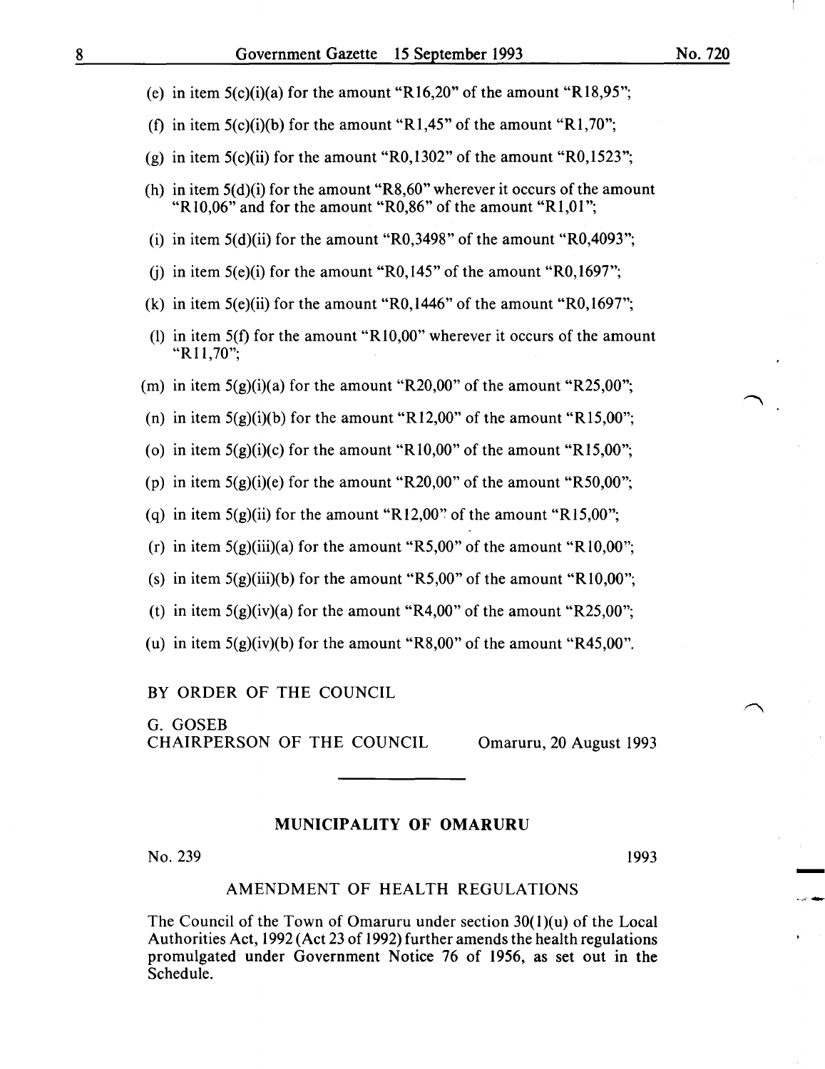- (e) in item  $5(c)(i)(a)$  for the amount "R16,20" of the amount "R18,95";
- (f) in item  $5(c)(i)(b)$  for the amount "R1,45" of the amount "R1,70";
- (g) in item 5(c)(ii) for the amount "RO,l302" of the amount "R0,1523";
- (h) in item  $5(d)(i)$  for the amount "R8,60" wherever it occurs of the amount "R10,06" and for the amount "R0,86" of the amount "R1,01";
- (i) in item  $5(d)(ii)$  for the amount "R0,3498" of the amount "R0,4093";
- (i) in item  $5(e)(i)$  for the amount "R0,145" of the amount "R0,1697";
- (k) in item 5(e)(ii) for the amount "R0,1446" of the amount "R0,1697";
- (1) in item  $5(f)$  for the amount "R10,00" wherever it occurs of the amount "R11,70";
- (m) in item  $5(g)(i)(a)$  for the amount "R20,00" of the amount "R25,00";
- (n) in item  $5(g)(i)(b)$  for the amount "R12,00" of the amount "R15,00";
- (o) in item  $5(g)(i)(c)$  for the amount "R10,00" of the amount "R15,00";
- (p) in item  $5(g)(i)(e)$  for the amount "R20,00" of the amount "R50,00";
- (q) in item  $5(g)(ii)$  for the amount "R12,00" of the amount "R15,00";
- (r) in item  $5(g)(iii)(a)$  for the amount "R5,00" of the amount "R10,00";
- (s) in item  $5(g)(iii)(b)$  for the amount "R5,00" of the amount "R10,00";
- (t) in item  $5(g)(iv)(a)$  for the amount "R4,00" of the amount "R25,00";
- (u) in item  $5(g)(iv)(b)$  for the amount "R8,00" of the amount "R45,00".

BY ORDER OF THE COUNCIL

G. GOSEB CHAIRPERSON OF THE COUNCIL Omaruru, 20 August 1993

#### MUNICIPALITY OF OMARURU

No. 239 1993

-<br>-<br>-

#### AMENDMENT OF HEALTH REGULATIONS

The Council of the Town of Omaruru under section  $30(1)(u)$  of the Local Authorities Act, 1992 (Act 23 of 1992) further amends the health regulations promulgated under Government Notice 76 of 1956, as set out in the Schedule.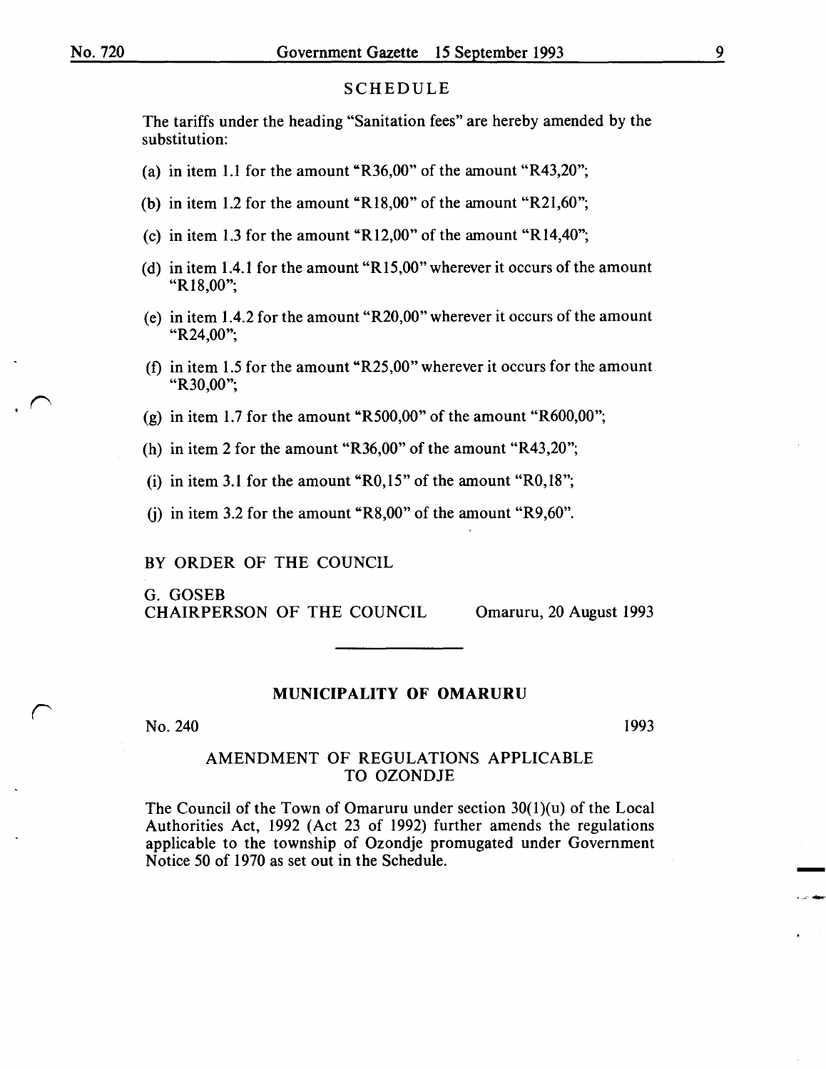$\sim$ 

 $\sqrt{2}$ 

#### SCHEDULE

The tariffs under the heading "Sanitation fees" are hereby amended by the substitution:

- (a) in item 1.1 for the amount "R36,00" of the amount "R43,20";
- (b) in item 1.2 for the amount "R18,00" of the amount "R21,60";
- (c) in item 1.3 for the amount "R12,00" of the amount "R14,40";
- (d) in item 1.4.1 for the amount "R15,00" wherever it occurs of the amount "R18,00";
- (e) in item 1.4.2 for the amount "R20,00" wherever it occurs of the amount "R24,00";
- (f) in item 1.5 for the amount "R25,00" wherever it occurs for the amount "R30,00";
- (g) in item 1.7 for the amount "R500,00" of the amount "R600,00";
- (h) in item 2 for the amount "R36,00" of the amount "R43,20";
- (i) in item 3.1 for the amount "R0,15" of the amount "R0,18";
- (i) in item 3.2 for the amount "R8,00" of the amount "R9,60".

BY ORDER OF THE COUNCIL

G. GOSEB CHAIRPERSON OF THE COUNCIL Omaruru, 20 August 1993

#### MUNICIPALITY OF OMARURU

No. 240

1993

-

### AMENDMENT OF REGULATIONS APPLICABLE TO OZONDJE

The Council of the Town of Omaruru under section  $30(1)(u)$  of the Local Authorities Act, 1992 (Act 23 of 1992) further amends the regulations applicable to the township of Ozondje promugated under Government Notice 50 of 1970 as set out in the Schedule.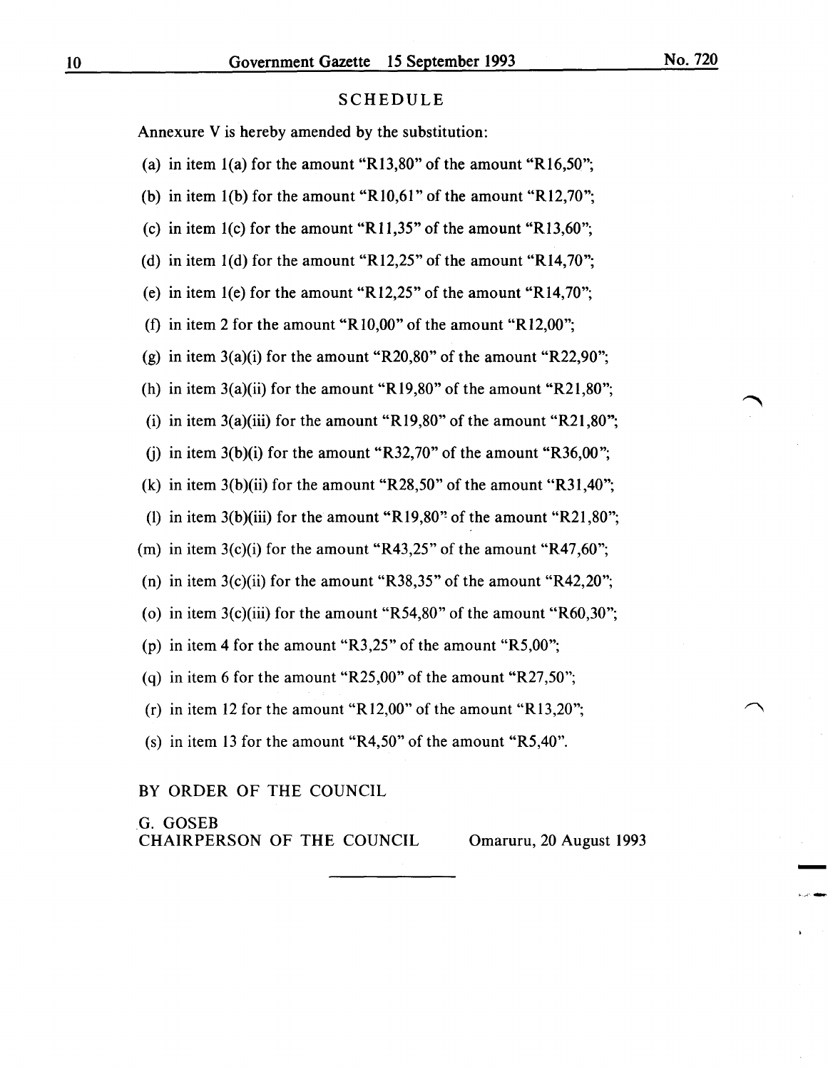Annexure V is hereby amended by the substitution:

(a) in item  $1(a)$  for the amount "R13,80" of the amount "R16,50"; (b) in item  $1(b)$  for the amount "R10,61" of the amount "R12,70"; (c) in item 1(c) for the amount "R11,35" of the amount "R13,60"; (d) in item l(d) for the amount "R12,25" of the amount "R14,70"; (e) in item 1(e) for the amount "R12,25" of the amount "R14,70"; (f) in item 2 for the amount "R10,00" of the amount "R12,00"; (g) in item  $3(a)(i)$  for the amount "R20,80" of the amount "R22,90"; (h) in item  $3(a)(ii)$  for the amount "R19,80" of the amount "R21,80"; (i) in item  $3(a)(iii)$  for the amount "R19,80" of the amount "R21,80"; (i) in item  $3(b)(i)$  for the amount "R32,70" of the amount "R36,00"; (k) in item  $3(b)(ii)$  for the amount "R28,50" of the amount "R31,40"; (1) in item 3(b)(iii) for the amount "R19,80" of the amount "R21,80"; (m) in item  $3(c)(i)$  for the amount "R43,25" of the amount "R47,60"; (n) in item  $3(c)$ (ii) for the amount "R38,35" of the amount "R42,20"; (o) in item  $3(c)$ (iii) for the amount "R54,80" of the amount "R60,30"; (p) in item 4 for the amount "R3,25" of the amount "R5,00"; (q) in item 6 for the amount "R25,00" of the amount "R27,50"; (r) in item 12 for the amount "R12,00" of the amount "R13,20"; (s) in item 13 for the amount "R4,50" of the amount "R5,40".

#### BY ORDER OF THE COUNCIL

.G. GOSEB CHAIRPERSON OF THE COUNCIL Omaruru, 20 August 1993

-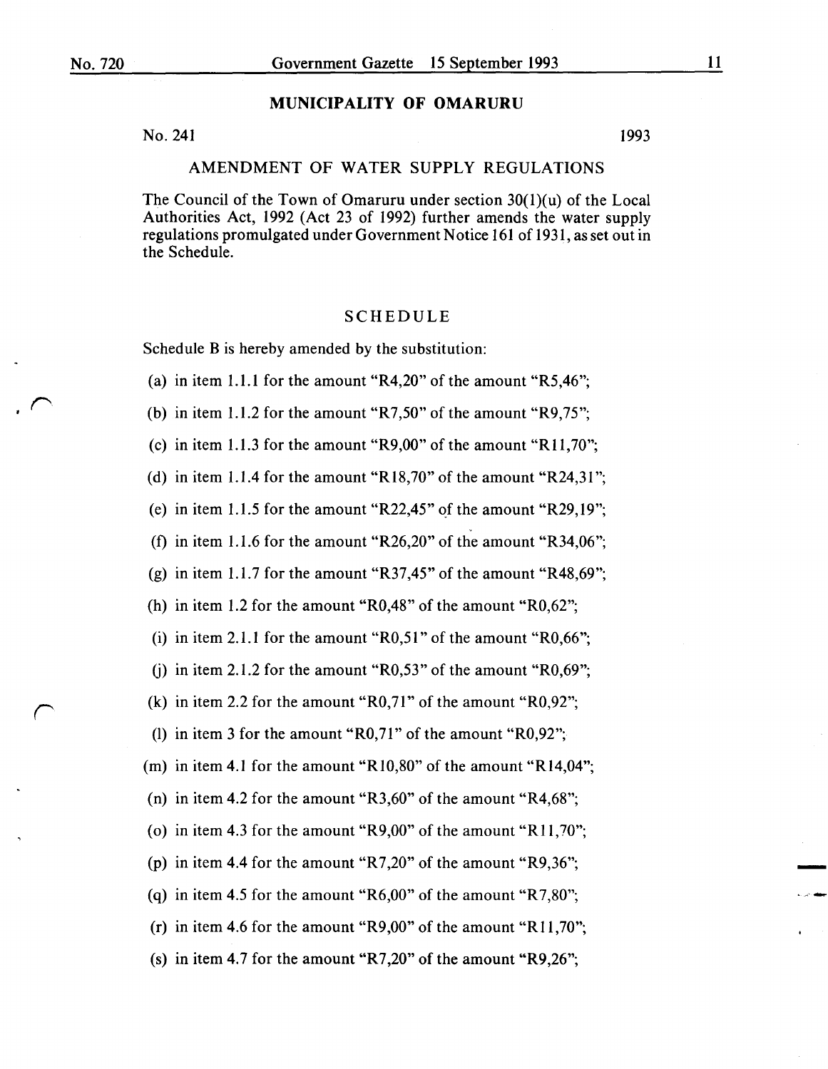# **MUNICIPALITY OF OMARURU**

 $No. 241$  1993

# AMENDMENT OF WATER SUPPLY REGULATIONS

The Council of the Town of Omaruru under section 30(1)(u) of the Local Authorities Act, 1992 (Act 23 of 1992) further amends the water supply regulations promulgated under Government Notice 161 of 1931, as set out in the Schedule.

## SCHEDULE

Schedule B is hereby amended by the substitution:

(a) in item 1.1.1 for the amount "R4,20" of the amount "R5,46";

(b) in item 1.1.2 for the amount "R7,50" of the amount "R9,75";

(c) in item 1.1.3 for the amount "R9,00" of the amount "R11,70";

(d) in item 1.1.4 for the amount "R18,70" of the amount "R24,31";

(e) in item 1.1.5 for the amount "R22,45" of the amount "R29,19";

(f) in item 1.1.6 for the amount "R26,20" of the amount "R34,06";

(g) in item 1.1.7 for the amount "R37,45" of the amount "R48,69";

(h) in item 1.2 for the amount "R0,48" of the amount "R0,62";

(i) in item 2.1.1 for the amount "R0,51" of the amount "R0,66";

(i) in item 2.1.2 for the amount "R0,53" of the amount "R0,69";

(k) in item 2.2 for the amount " $R0,71$ " of the amount " $R0,92$ ";

(1) in item 3 for the amount "R0,71" of the amount "R0,92";

(m) in item 4.1 for the amount "Rl0,80" of the amount "R14,04";

(n) in item 4.2 for the amount " $R3,60$ " of the amount " $R4,68$ ";

(o) in item 4.3 for the amount "R9,00" of the amount "R11,70";

(p) in item 4.4 for the amount "R7,20" of the amount "R9,36";

(q) in item 4.5 for the amount "R6,00" of the amount "R7,80";

(r) in item 4.6 for the amount "R9,00" of the amount "R11,70";

(s) in item 4.7 for the amount "R7,20" of the amount "R9,26";

-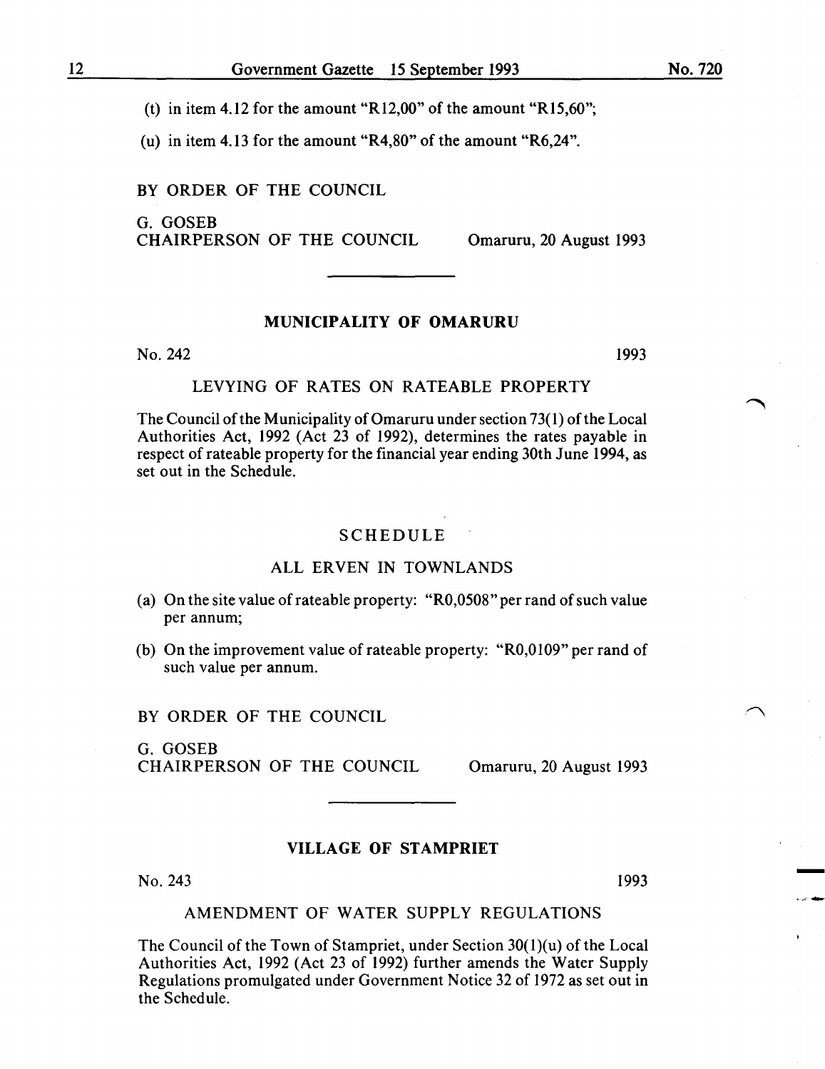(t) in item 4.12 for the amount "R12,00" of the amount "R15,60";

(u) in item 4.13 for the amount "R4,80" of the amount "R6,24".

BY ORDER OF THE COUNCIL

G. GOSEB CHAIRPERSON OF THE COUNCIL Omaruru, 20 August 1993

## MUNICIPALITY OF OMARURU

 $N<sub>0</sub>$ , 242 1993

# LEVYING OF RATES ON RATEABLE PROPERTY

The Council of the Municipality of Omaruru under section 73(1) of the Local Authorities Act, 1992 (Act 23 of 1992), determines the rates payable in respect of rateable property for the financial year ending 30th June 1994, as set out in the Schedule.

## SCHEDULE

## ALL ERVEN IN TOWNLANDS

- (a) On the site value of rateable property: "R0,0508" per rand of such value per annum;
- (b) On the improvement value of rateable property: " $R0,0109$ " per rand of such value per annum.

BY ORDER OF THE COUNCIL

G. GOSEB CHAIRPERSON OF THE COUNCIL Omaruru, 20 August 1993

## VILLAGE OF STAMPRIET

No. 243 1993

-

#### AMENDMENT OF WATER SUPPLY REGULATIONS

The Council of the Town of Stampriet, under Section 30(l)(u) of the Local Authorities Act, 1992 (Act 23 of 1992) further amends the Water Supply Regulations promulgated under Government Notice 32 of 1972 as set out in the Schedule.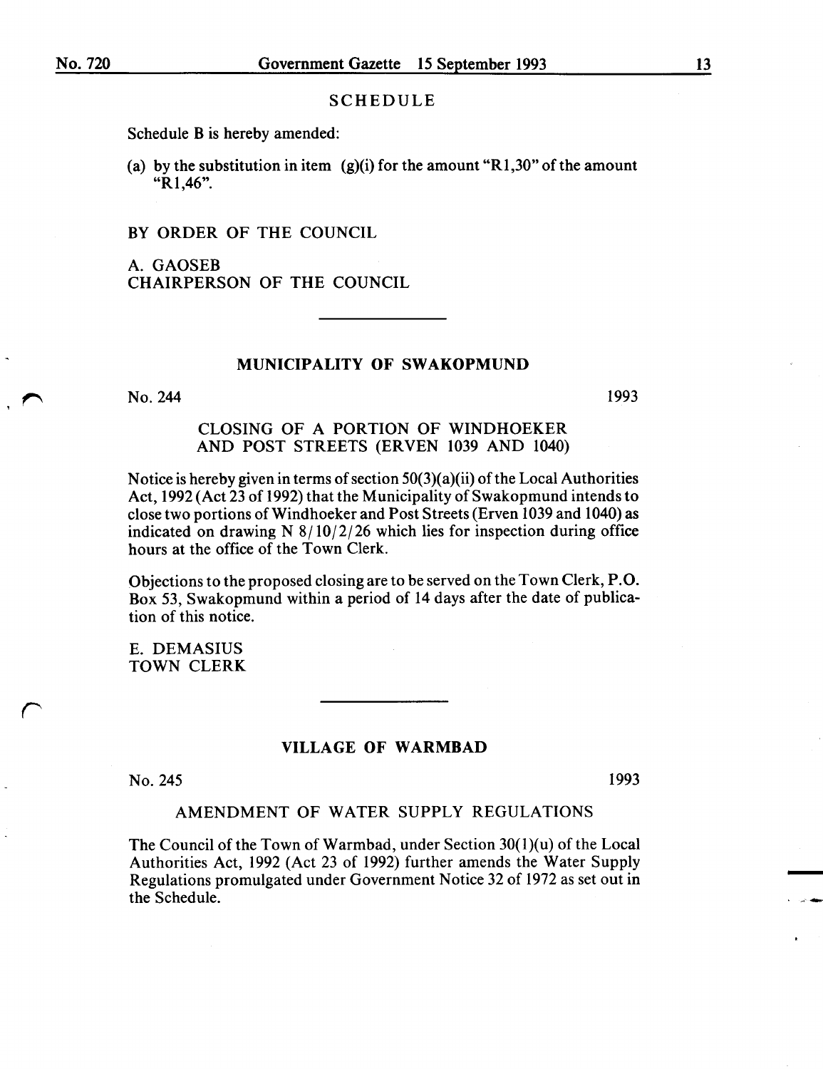Schedule B is hereby amended:

(a) by the substitution in item  $(g)(i)$  for the amount "R1,30" of the amount "R1,46".

BY ORDER OF THE COUNCIL

A. GAOSEB CHAIRPERSON OF THE COUNCIL

#### MUNICIPALITY OF SWAKOPMUND

No. 244

1993

## CLOSING OF A PORTION OF WINDHOEKER AND POST STREETS (ERVEN 1039 AND 1040)

Notice is hereby given in terms of section  $50(3)(a)(ii)$  of the Local Authorities Act, 1992 (Act 23 of 1992) that the Municipality of Swakopmund intends to close two portions ofWindhoeker and Post Streets (Erven 1039 and 1040) as indicated on drawing N  $8/10/2/26$  which lies for inspection during office hours at the office of the Town Clerk.

Objections to the proposed closing are to be served on the Town Clerk, P.O. Box 53, Swakopmund within a period of 14 days after the date of publication of this notice.

E. DEMASIUS TOWN CLERK

#### VILLAGE OF WARMBAD

No. 245

*r* 

1993

-

#### AMENDMENT OF WATER SUPPLY REGULATIONS

The Council of the Town of Warmbad, under Section  $30(1)(u)$  of the Local Authorities Act, 1992 (Act 23 of 1992) further amends the Water Supply Regulations promulgated under Government Notice 32 of 1972 as set out in the Schedule.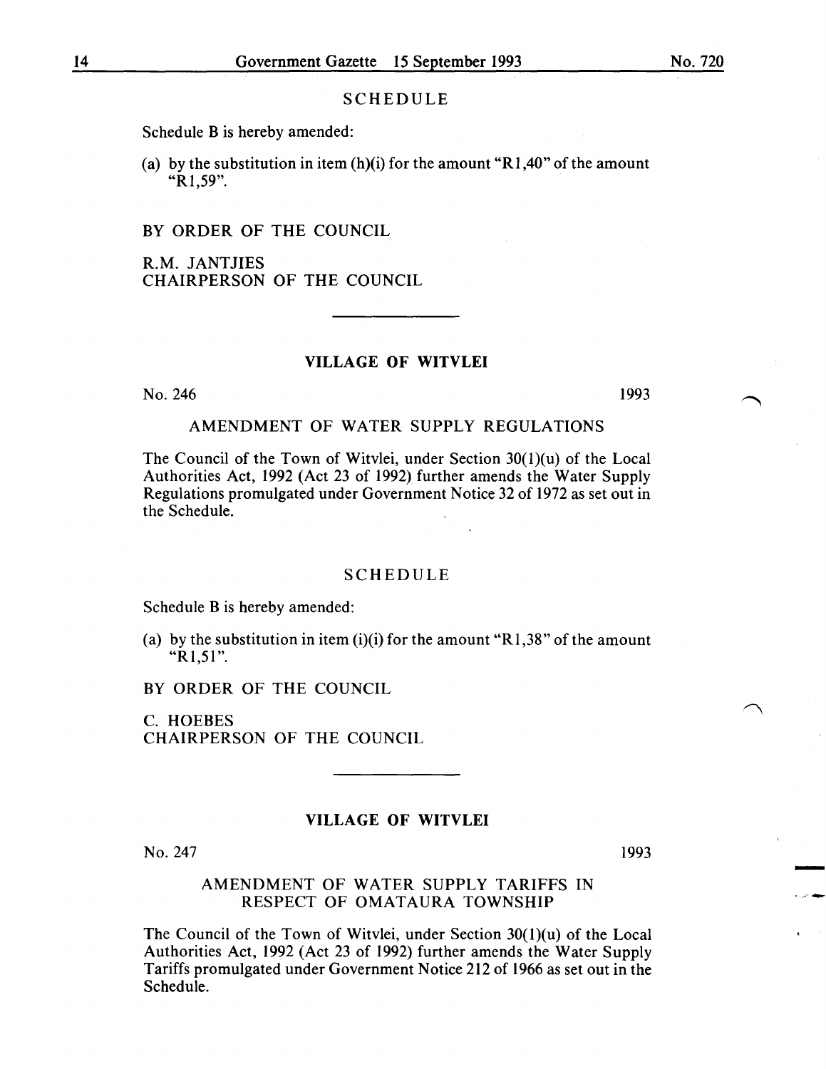Schedule B is hereby amended:

(a) by the substitution in item  $(h)(i)$  for the amount "R1,40" of the amount "R1,59".

## BY ORDER OF THE COUNCIL

R.M. JANTJIES CHAIRPERSON OF THE COUNCIL

## VILLAGE OF WITVLEI

No. 246

1993

# AMENDMENT OF WATER SUPPLY REGULATIONS

The Council of the Town of Witvlei, under Section 30(1)(u) of the Local Authorities Act, 1992 (Act 23 of 1992) further amends the Water Supply Regulations promulgated under Government Notice 32 of 1972 as set out in the Schedule.

#### SCHEDULE

Schedule B is hereby amended:

(a) by the substitution in item  $(i)(i)$  for the amount "R1,38" of the amount " $R1,51$ ".

BY ORDER OF THE COUNCIL

C. HOEBES CHAIRPERSON OF THE COUNCIL

## VILLAGE OF WITVLEI

No. 247

# 1993

-<br>-<br>-

## AMENDMENT OF WATER SUPPLY TARIFFS IN RESPECT OF OMATAURA TOWNSHIP

The Council of the Town of Witvlei, under Section  $30(1)(u)$  of the Local Authorities Act, 1992 (Act 23 of 1992) further amends the Water Supply Tariffs promulgated under Government Notice 212 of 1966 as set out in the Schedule.